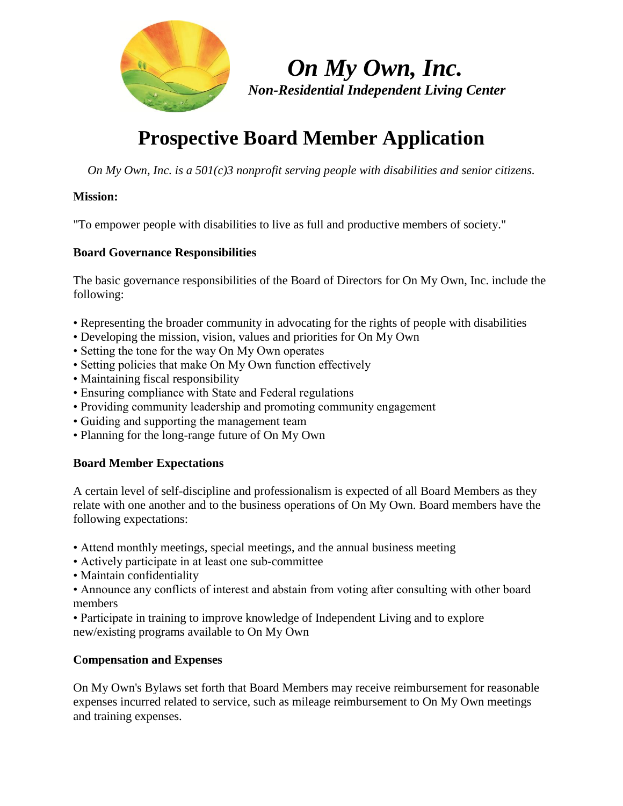

 *On My Own, Inc. Non-Residential Independent Living Center*

# **Prospective Board Member Application**

*On My Own, Inc. is a 501(c)3 nonprofit serving people with disabilities and senior citizens.*

## **Mission:**

"To empower people with disabilities to live as full and productive members of society."

#### **Board Governance Responsibilities**

The basic governance responsibilities of the Board of Directors for On My Own, Inc. include the following:

- Representing the broader community in advocating for the rights of people with disabilities
- Developing the mission, vision, values and priorities for On My Own
- Setting the tone for the way On My Own operates
- Setting policies that make On My Own function effectively
- Maintaining fiscal responsibility
- Ensuring compliance with State and Federal regulations
- Providing community leadership and promoting community engagement
- Guiding and supporting the management team
- Planning for the long-range future of On My Own

## **Board Member Expectations**

A certain level of self-discipline and professionalism is expected of all Board Members as they relate with one another and to the business operations of On My Own. Board members have the following expectations:

- Attend monthly meetings, special meetings, and the annual business meeting
- Actively participate in at least one sub-committee
- Maintain confidentiality
- Announce any conflicts of interest and abstain from voting after consulting with other board members
- Participate in training to improve knowledge of Independent Living and to explore new/existing programs available to On My Own

## **Compensation and Expenses**

On My Own's Bylaws set forth that Board Members may receive reimbursement for reasonable expenses incurred related to service, such as mileage reimbursement to On My Own meetings and training expenses.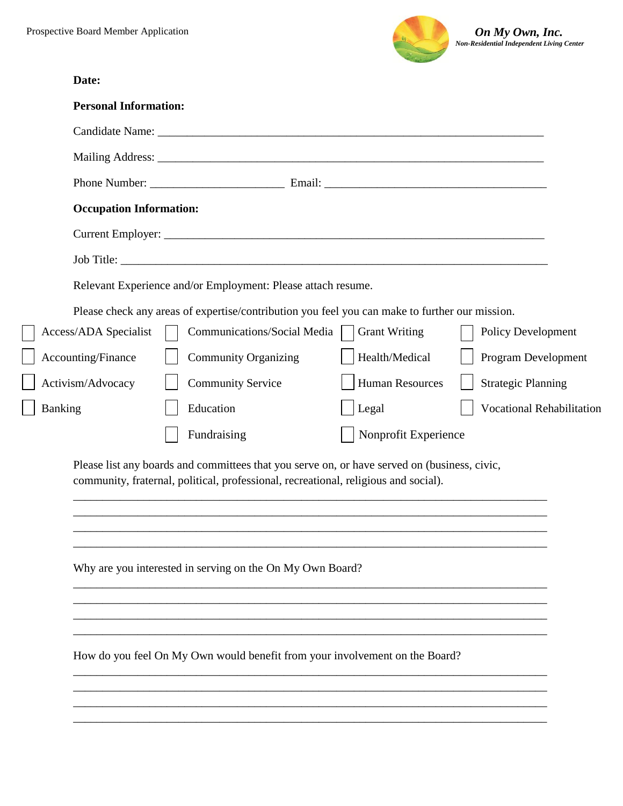

| Date:                                                                                                                                                                               |  |
|-------------------------------------------------------------------------------------------------------------------------------------------------------------------------------------|--|
| <b>Personal Information:</b>                                                                                                                                                        |  |
|                                                                                                                                                                                     |  |
|                                                                                                                                                                                     |  |
|                                                                                                                                                                                     |  |
| <b>Occupation Information:</b>                                                                                                                                                      |  |
|                                                                                                                                                                                     |  |
|                                                                                                                                                                                     |  |
| Relevant Experience and/or Employment: Please attach resume.                                                                                                                        |  |
| Please check any areas of expertise/contribution you feel you can make to further our mission.                                                                                      |  |
| <b>Grant Writing</b><br>Access/ADA Specialist<br>Communications/Social Media<br><b>Policy Development</b>                                                                           |  |
| Health/Medical<br>Accounting/Finance<br>Program Development<br><b>Community Organizing</b>                                                                                          |  |
| <b>Human Resources</b><br>Activism/Advocacy<br><b>Strategic Planning</b><br><b>Community Service</b>                                                                                |  |
| <b>Vocational Rehabilitation</b><br>Education<br>Legal<br>Banking                                                                                                                   |  |
| Nonprofit Experience<br>Fundraising                                                                                                                                                 |  |
| Please list any boards and committees that you serve on, or have served on (business, civic,<br>community, fraternal, political, professional, recreational, religious and social). |  |
| Why are you interested in serving on the On My Own Board?                                                                                                                           |  |
| How do you feel On My Own would benefit from your involvement on the Board?                                                                                                         |  |
|                                                                                                                                                                                     |  |